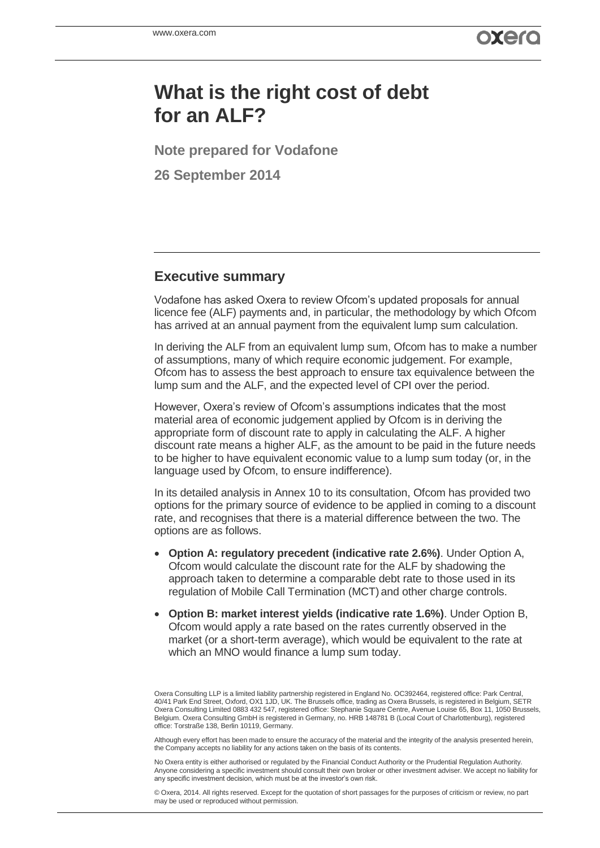# **What is the right cost of debt for an ALF?**

**Note prepared for Vodafone**

**26 September 2014**

# **Executive summary**

Vodafone has asked Oxera to review Ofcom's updated proposals for annual licence fee (ALF) payments and, in particular, the methodology by which Ofcom has arrived at an annual payment from the equivalent lump sum calculation.

In deriving the ALF from an equivalent lump sum, Ofcom has to make a number of assumptions, many of which require economic judgement. For example, Ofcom has to assess the best approach to ensure tax equivalence between the lump sum and the ALF, and the expected level of CPI over the period.

However, Oxera's review of Ofcom's assumptions indicates that the most material area of economic judgement applied by Ofcom is in deriving the appropriate form of discount rate to apply in calculating the ALF. A higher discount rate means a higher ALF, as the amount to be paid in the future needs to be higher to have equivalent economic value to a lump sum today (or, in the language used by Ofcom, to ensure indifference).

In its detailed analysis in Annex 10 to its consultation, Ofcom has provided two options for the primary source of evidence to be applied in coming to a discount rate, and recognises that there is a material difference between the two. The options are as follows.

- **Option A: regulatory precedent (indicative rate 2.6%)**. Under Option A, Ofcom would calculate the discount rate for the ALF by shadowing the approach taken to determine a comparable debt rate to those used in its regulation of Mobile Call Termination (MCT) and other charge controls.
- **Option B: market interest yields (indicative rate 1.6%)**. Under Option B, Ofcom would apply a rate based on the rates currently observed in the market (or a short-term average), which would be equivalent to the rate at which an MNO would finance a lump sum today.

Although every effort has been made to ensure the accuracy of the material and the integrity of the analysis presented herein, the Company accepts no liability for any actions taken on the basis of its contents.

No Oxera entity is either authorised or regulated by the Financial Conduct Authority or the Prudential Regulation Authority. Anyone considering a specific investment should consult their own broker or other investment adviser. We accept no liability for any specific investment decision, which must be at the investor's own risk.

© Oxera, 2014. All rights reserved. Except for the quotation of short passages for the purposes of criticism or review, no part may be used or reproduced without permission.

Oxera Consulting LLP is a limited liability partnership registered in England No. OC392464, registered office: Park Central, 40/41 Park End Street, Oxford, OX1 1JD, UK. The Brussels office, trading as Oxera Brussels, is registered in Belgium, SETR Oxera Consulting Limited 0883 432 547, registered office: Stephanie Square Centre, Avenue Louise 65, Box 11, 1050 Brussels, Belgium. Oxera Consulting GmbH is registered in Germany, no. HRB 148781 B (Local Court of Charlottenburg), registered office: Torstraße 138, Berlin 10119, Germany.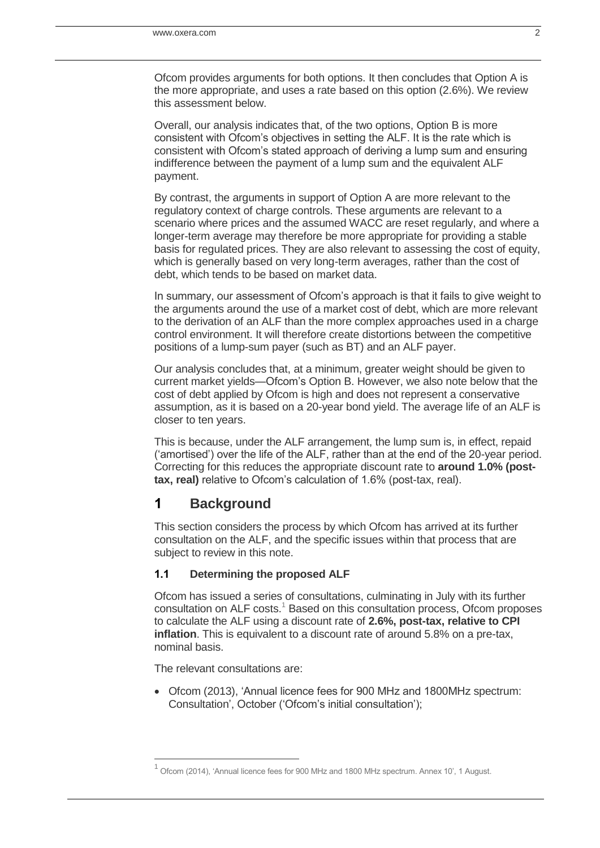Ofcom provides arguments for both options. It then concludes that Option A is the more appropriate, and uses a rate based on this option (2.6%). We review this assessment below.

Overall, our analysis indicates that, of the two options, Option B is more consistent with Ofcom's objectives in setting the ALF. It is the rate which is consistent with Ofcom's stated approach of deriving a lump sum and ensuring indifference between the payment of a lump sum and the equivalent ALF payment.

By contrast, the arguments in support of Option A are more relevant to the regulatory context of charge controls. These arguments are relevant to a scenario where prices and the assumed WACC are reset regularly, and where a longer-term average may therefore be more appropriate for providing a stable basis for regulated prices. They are also relevant to assessing the cost of equity, which is generally based on very long-term averages, rather than the cost of debt, which tends to be based on market data.

In summary, our assessment of Ofcom's approach is that it fails to give weight to the arguments around the use of a market cost of debt, which are more relevant to the derivation of an ALF than the more complex approaches used in a charge control environment. It will therefore create distortions between the competitive positions of a lump-sum payer (such as BT) and an ALF payer.

Our analysis concludes that, at a minimum, greater weight should be given to current market yields—Ofcom's Option B. However, we also note below that the cost of debt applied by Ofcom is high and does not represent a conservative assumption, as it is based on a 20-year bond yield. The average life of an ALF is closer to ten years.

This is because, under the ALF arrangement, the lump sum is, in effect, repaid ('amortised') over the life of the ALF, rather than at the end of the 20-year period. Correcting for this reduces the appropriate discount rate to **around 1.0% (posttax, real)** relative to Ofcom's calculation of 1.6% (post-tax, real).

# **1 Background**

This section considers the process by which Ofcom has arrived at its further consultation on the ALF, and the specific issues within that process that are subject to review in this note.

## **1.1 Determining the proposed ALF**

Ofcom has issued a series of consultations, culminating in July with its further consultation on ALF costs.<sup>1</sup> Based on this consultation process, Ofcom proposes to calculate the ALF using a discount rate of **2.6%, post-tax, relative to CPI inflation**. This is equivalent to a discount rate of around 5.8% on a pre-tax, nominal basis.

The relevant consultations are:

j

 Ofcom (2013), 'Annual licence fees for 900 MHz and 1800MHz spectrum: Consultation', October ('Ofcom's initial consultation');

 $<sup>1</sup>$  Ofcom (2014), 'Annual licence fees for 900 MHz and 1800 MHz spectrum. Annex 10', 1 August.</sup>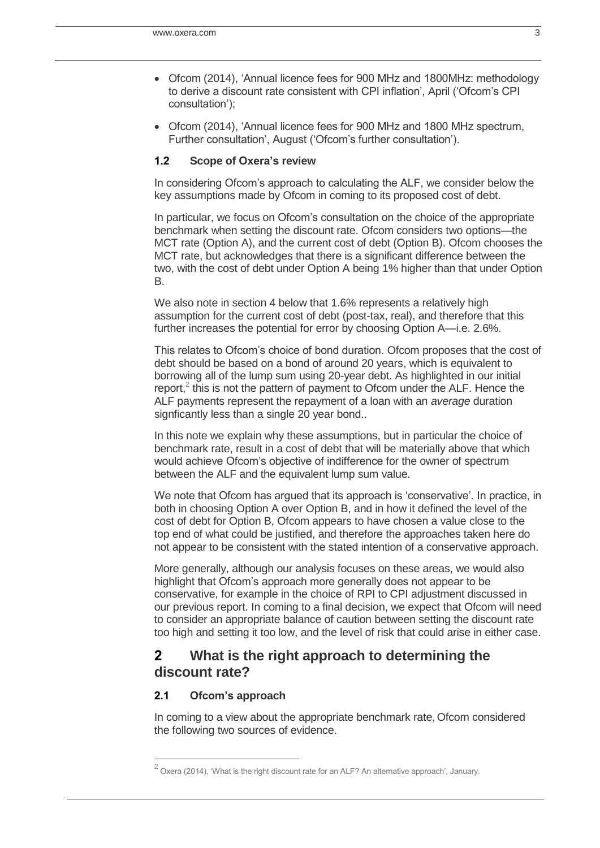- Ofcom (2014), 'Annual licence fees for 900 MHz and 1800MHz: methodology to derive a discount rate consistent with CPI inflation', April ('Ofcom's CPI consultation');
- Ofcom (2014), 'Annual licence fees for 900 MHz and 1800 MHz spectrum, Further consultation', August ('Ofcom's further consultation').

#### **1.2 Scope of Oxera's review**

In considering Ofcom's approach to calculating the ALF, we consider below the key assumptions made by Ofcom in coming to its proposed cost of debt.

In particular, we focus on Ofcom's consultation on the choice of the appropriate benchmark when setting the discount rate. Ofcom considers two options—the MCT rate (Option A), and the current cost of debt (Option B). Ofcom chooses the MCT rate, but acknowledges that there is a significant difference between the two, with the cost of debt under Option A being 1% higher than that under Option B.

We also note in section 4 below that 1.6% represents a relatively high assumption for the current cost of debt (post-tax, real), and therefore that this further increases the potential for error by choosing Option A—i.e. 2.6%.

This relates to Ofcom's choice of bond duration. Ofcom proposes that the cost of debt should be based on a bond of around 20 years, which is equivalent to borrowing all of the lump sum using 20-year debt. As highlighted in our initial report, $2$  this is not the pattern of payment to Ofcom under the ALF. Hence the ALF payments represent the repayment of a loan with an *average* duration signficantly less than a single 20 year bond..

In this note we explain why these assumptions, but in particular the choice of benchmark rate, result in a cost of debt that will be materially above that which would achieve Ofcom's objective of indifference for the owner of spectrum between the ALF and the equivalent lump sum value.

We note that Ofcom has argued that its approach is 'conservative'. In practice, in both in choosing Option A over Option B, and in how it defined the level of the cost of debt for Option B, Ofcom appears to have chosen a value close to the top end of what could be justified, and therefore the approaches taken here do not appear to be consistent with the stated intention of a conservative approach.

More generally, although our analysis focuses on these areas, we would also highlight that Ofcom's approach more generally does not appear to be conservative, for example in the choice of RPI to CPI adjustment discussed in our previous report. In coming to a final decision, we expect that Ofcom will need to consider an appropriate balance of caution between setting the discount rate too high and setting it too low, and the level of risk that could arise in either case.

# **2 What is the right approach to determining the discount rate?**

## **2.1 Ofcom's approach**

j

In coming to a view about the appropriate benchmark rate, Ofcom considered the following two sources of evidence.

 $^2$  Oxera (2014), 'What is the right discount rate for an ALF? An alternative approach', January.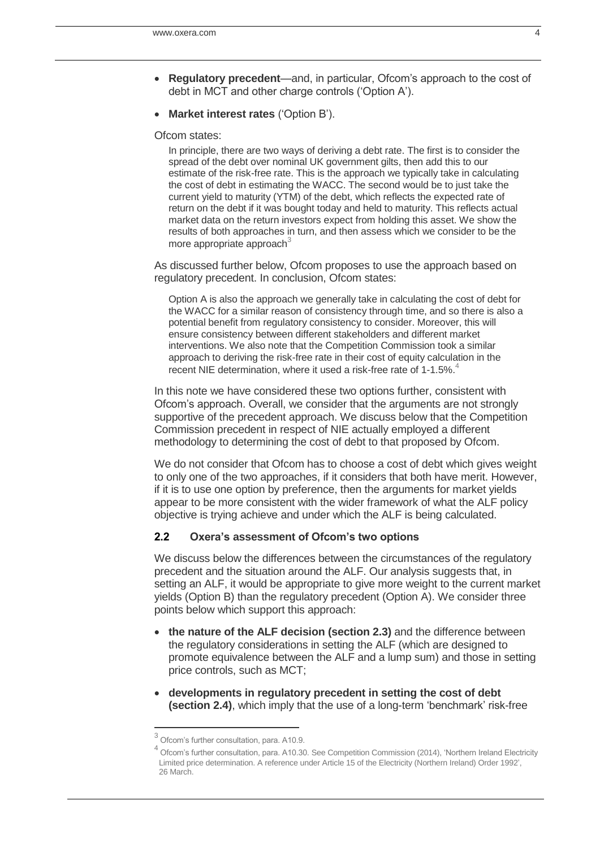- **Regulatory precedent**—and, in particular, Ofcom's approach to the cost of debt in MCT and other charge controls ('Option A').
- **Market interest rates** ('Option B').

Ofcom states:

In principle, there are two ways of deriving a debt rate. The first is to consider the spread of the debt over nominal UK government gilts, then add this to our estimate of the risk-free rate. This is the approach we typically take in calculating the cost of debt in estimating the WACC. The second would be to just take the current yield to maturity (YTM) of the debt, which reflects the expected rate of return on the debt if it was bought today and held to maturity. This reflects actual market data on the return investors expect from holding this asset. We show the results of both approaches in turn, and then assess which we consider to be the more appropriate approach $3$ 

As discussed further below, Ofcom proposes to use the approach based on regulatory precedent. In conclusion, Ofcom states:

Option A is also the approach we generally take in calculating the cost of debt for the WACC for a similar reason of consistency through time, and so there is also a potential benefit from regulatory consistency to consider. Moreover, this will ensure consistency between different stakeholders and different market interventions. We also note that the Competition Commission took a similar approach to deriving the risk-free rate in their cost of equity calculation in the recent NIE determination, where it used a risk-free rate of 1-1.5%.<sup>4</sup>

In this note we have considered these two options further, consistent with Ofcom's approach. Overall, we consider that the arguments are not strongly supportive of the precedent approach. We discuss below that the Competition Commission precedent in respect of NIE actually employed a different methodology to determining the cost of debt to that proposed by Ofcom.

We do not consider that Ofcom has to choose a cost of debt which gives weight to only one of the two approaches, if it considers that both have merit. However, if it is to use one option by preference, then the arguments for market yields appear to be more consistent with the wider framework of what the ALF policy objective is trying achieve and under which the ALF is being calculated.

#### **2.2 Oxera's assessment of Ofcom's two options**

We discuss below the differences between the circumstances of the regulatory precedent and the situation around the ALF. Our analysis suggests that, in setting an ALF, it would be appropriate to give more weight to the current market yields (Option B) than the regulatory precedent (Option A). We consider three points below which support this approach:

- **the nature of the ALF decision (section [2.3\)](#page-4-0)** and the difference between the regulatory considerations in setting the ALF (which are designed to promote equivalence between the ALF and a lump sum) and those in setting price controls, such as MCT;
- **developments in regulatory precedent in setting the cost of debt (section [2.4\)](#page-5-0)**, which imply that the use of a long-term 'benchmark' risk-free

 3 Ofcom's further consultation, para. A10.9. 4

Ofcom's further consultation, para. A10.30. See Competition Commission (2014), 'Northern Ireland Electricity Limited price determination. A reference under Article 15 of the Electricity (Northern Ireland) Order 1992', 26 March.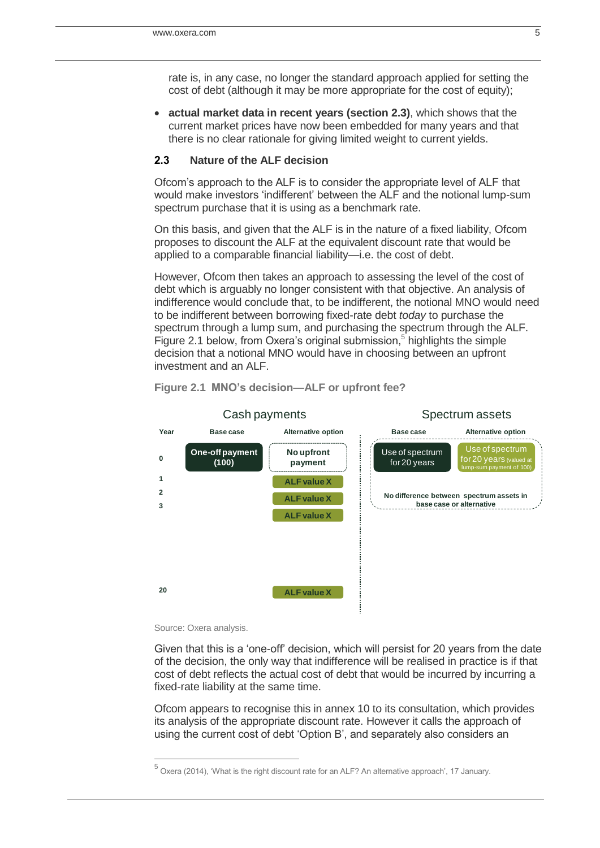rate is, in any case, no longer the standard approach applied for setting the cost of debt (although it may be more appropriate for the cost of equity);

 **actual market data in recent years (section [2.3\)](#page-4-0)**, which shows that the current market prices have now been embedded for many years and that there is no clear rationale for giving limited weight to current yields.

## <span id="page-4-0"></span>**2.3 Nature of the ALF decision**

Ofcom's approach to the ALF is to consider the appropriate level of ALF that would make investors 'indifferent' between the ALF and the notional lump-sum spectrum purchase that it is using as a benchmark rate.

On this basis, and given that the ALF is in the nature of a fixed liability, Ofcom proposes to discount the ALF at the equivalent discount rate that would be applied to a comparable financial liability—i.e. the cost of debt.

However, Ofcom then takes an approach to assessing the level of the cost of debt which is arguably no longer consistent with that objective. An analysis of indifference would conclude that, to be indifferent, the notional MNO would need to be indifferent between borrowing fixed-rate debt *today* to purchase the spectrum through a lump sum, and purchasing the spectrum through the ALF. [Figure 2.1](#page-4-1) below, from Oxera's original submission, 5 highlights the simple decision that a notional MNO would have in choosing between an upfront investment and an ALF.



<span id="page-4-1"></span>**Figure 2.1 MNO's decision—ALF or upfront fee?**

#### Source: Oxera analysis.

j

Given that this is a 'one-off' decision, which will persist for 20 years from the date of the decision, the only way that indifference will be realised in practice is if that cost of debt reflects the actual cost of debt that would be incurred by incurring a fixed-rate liability at the same time.

Ofcom appears to recognise this in annex 10 to its consultation, which provides its analysis of the appropriate discount rate. However it calls the approach of using the current cost of debt 'Option B', and separately also considers an

<sup>&</sup>lt;sup>5</sup> Oxera (2014), 'What is the right discount rate for an ALF? An alternative approach', 17 January.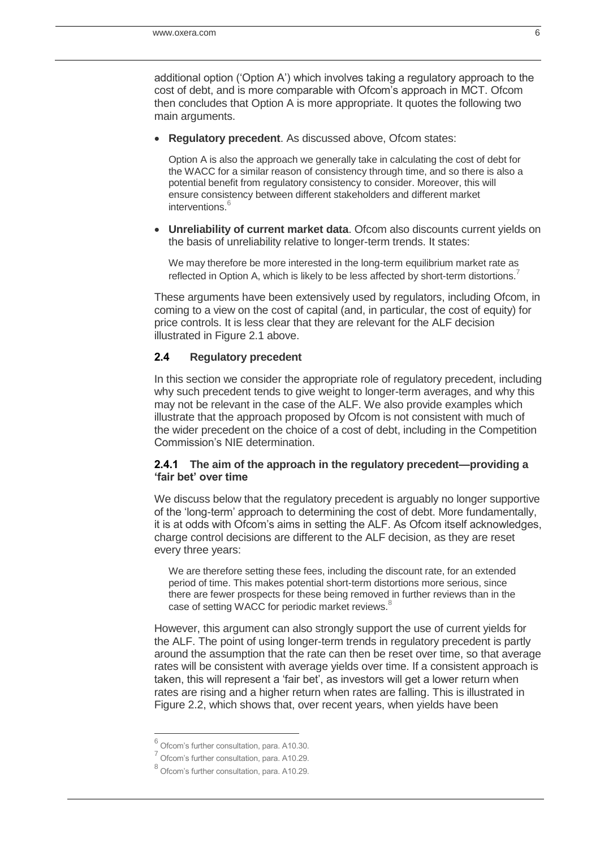additional option ('Option A') which involves taking a regulatory approach to the cost of debt, and is more comparable with Ofcom's approach in MCT. Ofcom then concludes that Option A is more appropriate. It quotes the following two main arguments.

**Regulatory precedent**. As discussed above, Ofcom states:

Option A is also the approach we generally take in calculating the cost of debt for the WACC for a similar reason of consistency through time, and so there is also a potential benefit from regulatory consistency to consider. Moreover, this will ensure consistency between different stakeholders and different market interventions.<sup>6</sup>

 **Unreliability of current market data**. Ofcom also discounts current yields on the basis of unreliability relative to longer-term trends. It states:

We may therefore be more interested in the long-term equilibrium market rate as reflected in Option A, which is likely to be less affected by short-term distortions.

These arguments have been extensively used by regulators, including Ofcom, in coming to a view on the cost of capital (and, in particular, the cost of equity) for price controls. It is less clear that they are relevant for the ALF decision illustrated in [Figure 2.1](#page-4-1) above.

#### <span id="page-5-0"></span>**2.4 Regulatory precedent**

In this section we consider the appropriate role of regulatory precedent, including why such precedent tends to give weight to longer-term averages, and why this may not be relevant in the case of the ALF. We also provide examples which illustrate that the approach proposed by Ofcom is not consistent with much of the wider precedent on the choice of a cost of debt, including in the Competition Commission's NIE determination.

#### **2.4.1 The aim of the approach in the regulatory precedent—providing a 'fair bet' over time**

We discuss below that the regulatory precedent is arguably no longer supportive of the 'long-term' approach to determining the cost of debt. More fundamentally, it is at odds with Ofcom's aims in setting the ALF. As Ofcom itself acknowledges, charge control decisions are different to the ALF decision, as they are reset every three years:

We are therefore setting these fees, including the discount rate, for an extended period of time. This makes potential short-term distortions more serious, since there are fewer prospects for these being removed in further reviews than in the case of setting WACC for periodic market reviews.<sup>8</sup>

However, this argument can also strongly support the use of current yields for the ALF. The point of using longer-term trends in regulatory precedent is partly around the assumption that the rate can then be reset over time, so that average rates will be consistent with average yields over time. If a consistent approach is taken, this will represent a 'fair bet', as investors will get a lower return when rates are rising and a higher return when rates are falling. This is illustrated in [Figure 2.2,](#page-6-0) which shows that, over recent years, when yields have been

 $\overline{a}$ 

<sup>6</sup> Ofcom's further consultation, para. A10.30.

<sup>&</sup>lt;sup>7</sup> Ofcom's further consultation, para. A10.29.

<sup>&</sup>lt;sup>8</sup> Ofcom's further consultation, para. A10.29.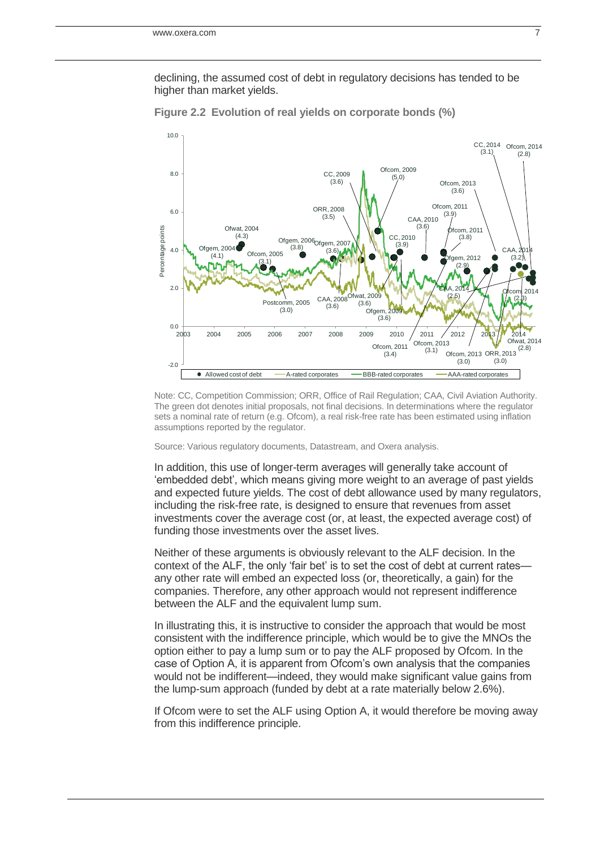declining, the assumed cost of debt in regulatory decisions has tended to be higher than market yields.



<span id="page-6-0"></span>**Figure 2.2 Evolution of real yields on corporate bonds (%)**

Note: CC, Competition Commission; ORR, Office of Rail Regulation; CAA, Civil Aviation Authority. The green dot denotes initial proposals, not final decisions. In determinations where the regulator sets a nominal rate of return (e.g. Ofcom), a real risk-free rate has been estimated using inflation assumptions reported by the regulator.

Source: Various regulatory documents, Datastream, and Oxera analysis.

In addition, this use of longer-term averages will generally take account of 'embedded debt', which means giving more weight to an average of past yields and expected future yields. The cost of debt allowance used by many regulators, including the risk-free rate, is designed to ensure that revenues from asset investments cover the average cost (or, at least, the expected average cost) of funding those investments over the asset lives.

Neither of these arguments is obviously relevant to the ALF decision. In the context of the ALF, the only 'fair bet' is to set the cost of debt at current ratesany other rate will embed an expected loss (or, theoretically, a gain) for the companies. Therefore, any other approach would not represent indifference between the ALF and the equivalent lump sum.

In illustrating this, it is instructive to consider the approach that would be most consistent with the indifference principle, which would be to give the MNOs the option either to pay a lump sum or to pay the ALF proposed by Ofcom. In the case of Option A, it is apparent from Ofcom's own analysis that the companies would not be indifferent—indeed, they would make significant value gains from the lump-sum approach (funded by debt at a rate materially below 2.6%).

If Ofcom were to set the ALF using Option A, it would therefore be moving away from this indifference principle.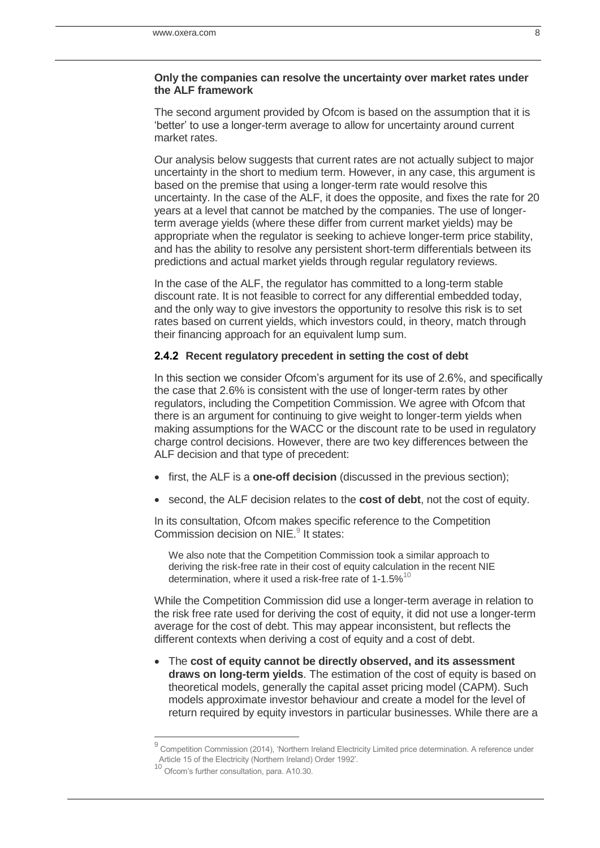#### **Only the companies can resolve the uncertainty over market rates under the ALF framework**

The second argument provided by Ofcom is based on the assumption that it is 'better' to use a longer-term average to allow for uncertainty around current market rates.

Our analysis below suggests that current rates are not actually subject to major uncertainty in the short to medium term. However, in any case, this argument is based on the premise that using a longer-term rate would resolve this uncertainty. In the case of the ALF, it does the opposite, and fixes the rate for 20 years at a level that cannot be matched by the companies. The use of longerterm average yields (where these differ from current market yields) may be appropriate when the regulator is seeking to achieve longer-term price stability, and has the ability to resolve any persistent short-term differentials between its predictions and actual market yields through regular regulatory reviews.

In the case of the ALF, the regulator has committed to a long-term stable discount rate. It is not feasible to correct for any differential embedded today, and the only way to give investors the opportunity to resolve this risk is to set rates based on current yields, which investors could, in theory, match through their financing approach for an equivalent lump sum.

## **2.4.2 Recent regulatory precedent in setting the cost of debt**

In this section we consider Ofcom's argument for its use of 2.6%, and specifically the case that 2.6% is consistent with the use of longer-term rates by other regulators, including the Competition Commission. We agree with Ofcom that there is an argument for continuing to give weight to longer-term yields when making assumptions for the WACC or the discount rate to be used in regulatory charge control decisions. However, there are two key differences between the ALF decision and that type of precedent:

- first, the ALF is a **one-off decision** (discussed in the previous section);
- second, the ALF decision relates to the **cost of debt**, not the cost of equity.

In its consultation, Ofcom makes specific reference to the Competition Commission decision on NIE.<sup>9</sup> It states:

We also note that the Competition Commission took a similar approach to deriving the risk-free rate in their cost of equity calculation in the recent NIE determination, where it used a risk-free rate of  $1-1.5\%$ <sup>10</sup>

While the Competition Commission did use a longer-term average in relation to the risk free rate used for deriving the cost of equity, it did not use a longer-term average for the cost of debt. This may appear inconsistent, but reflects the different contexts when deriving a cost of equity and a cost of debt.

 The **cost of equity cannot be directly observed, and its assessment draws on long-term yields**. The estimation of the cost of equity is based on theoretical models, generally the capital asset pricing model (CAPM). Such models approximate investor behaviour and create a model for the level of return required by equity investors in particular businesses. While there are a

j

<sup>9</sup> Competition Commission (2014), 'Northern Ireland Electricity Limited price determination. A reference under Article 15 of the Electricity (Northern Ireland) Order 1992'.

<sup>10</sup> Ofcom's further consultation, para. A10.30.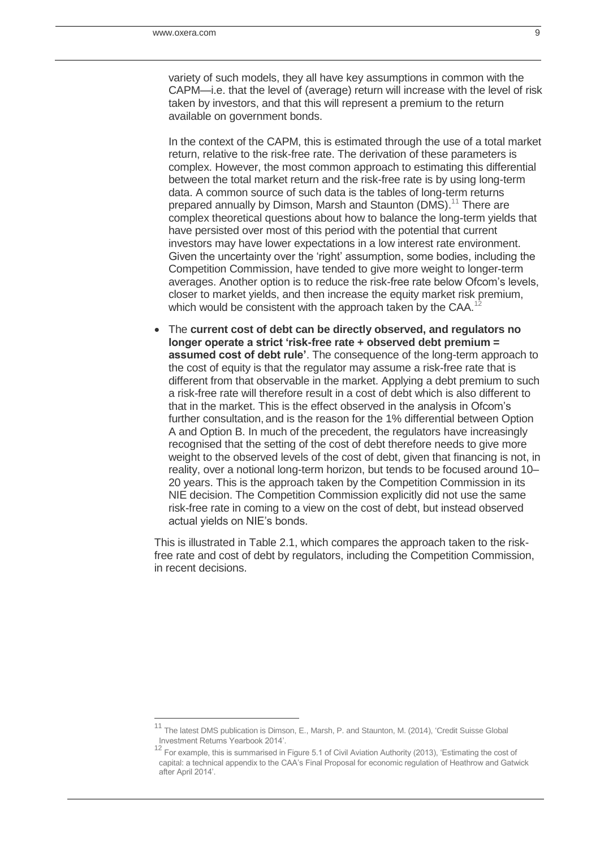j

variety of such models, they all have key assumptions in common with the CAPM—i.e. that the level of (average) return will increase with the level of risk taken by investors, and that this will represent a premium to the return available on government bonds.

In the context of the CAPM, this is estimated through the use of a total market return, relative to the risk-free rate. The derivation of these parameters is complex. However, the most common approach to estimating this differential between the total market return and the risk-free rate is by using long-term data. A common source of such data is the tables of long-term returns prepared annually by Dimson, Marsh and Staunton (DMS).<sup>11</sup> There are complex theoretical questions about how to balance the long-term yields that have persisted over most of this period with the potential that current investors may have lower expectations in a low interest rate environment. Given the uncertainty over the 'right' assumption, some bodies, including the Competition Commission, have tended to give more weight to longer-term averages. Another option is to reduce the risk-free rate below Ofcom's levels, closer to market yields, and then increase the equity market risk premium, which would be consistent with the approach taken by the CAA.<sup>1</sup>

 The **current cost of debt can be directly observed, and regulators no longer operate a strict 'risk-free rate + observed debt premium = assumed cost of debt rule'**. The consequence of the long-term approach to the cost of equity is that the regulator may assume a risk-free rate that is different from that observable in the market. Applying a debt premium to such a risk-free rate will therefore result in a cost of debt which is also different to that in the market. This is the effect observed in the analysis in Ofcom's further consultation, and is the reason for the 1% differential between Option A and Option B. In much of the precedent, the regulators have increasingly recognised that the setting of the cost of debt therefore needs to give more weight to the observed levels of the cost of debt, given that financing is not, in reality, over a notional long-term horizon, but tends to be focused around 10– 20 years. This is the approach taken by the Competition Commission in its NIE decision. The Competition Commission explicitly did not use the same risk-free rate in coming to a view on the cost of debt, but instead observed actual yields on NIE's bonds.

This is illustrated in [Table 2.1,](#page-9-0) which compares the approach taken to the riskfree rate and cost of debt by regulators, including the Competition Commission, in recent decisions.

<sup>&</sup>lt;sup>11</sup> The latest DMS publication is Dimson, E., Marsh, P. and Staunton, M. (2014), 'Credit Suisse Global Investment Returns Yearbook 2014'.

<sup>&</sup>lt;sup>12</sup> For example, this is summarised in Figure 5.1 of Civil Aviation Authority (2013), 'Estimating the cost of capital: a technical appendix to the CAA's Final Proposal for economic regulation of Heathrow and Gatwick after April 2014'.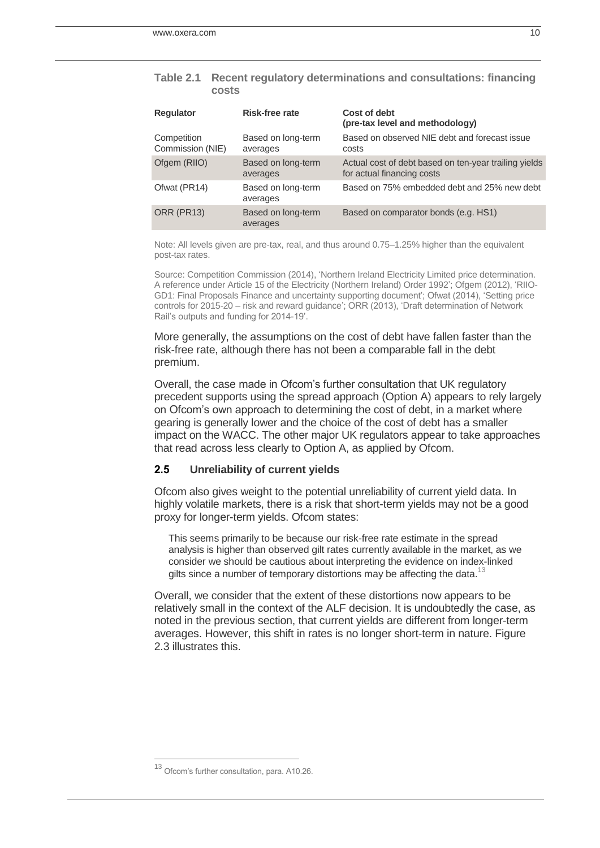#### <span id="page-9-0"></span>**Table 2.1 Recent regulatory determinations and consultations: financing costs**

| <b>Regulator</b>                | <b>Risk-free rate</b>          | Cost of debt<br>(pre-tax level and methodology)                                     |
|---------------------------------|--------------------------------|-------------------------------------------------------------------------------------|
| Competition<br>Commission (NIE) | Based on long-term<br>averages | Based on observed NIE debt and forecast issue<br>costs                              |
| Ofgem (RIIO)                    | Based on long-term<br>averages | Actual cost of debt based on ten-year trailing yields<br>for actual financing costs |
| Ofwat (PR14)                    | Based on long-term<br>averages | Based on 75% embedded debt and 25% new debt                                         |
| <b>ORR (PR13)</b>               | Based on long-term<br>averages | Based on comparator bonds (e.g. HS1)                                                |

Note: All levels given are pre-tax, real, and thus around 0.75–1.25% higher than the equivalent post-tax rates.

Source: Competition Commission (2014), 'Northern Ireland Electricity Limited price determination. A reference under Article 15 of the Electricity (Northern Ireland) Order 1992'; Ofgem (2012), 'RIIO-GD1: Final Proposals Finance and uncertainty supporting document'; Ofwat (2014), 'Setting price controls for 2015-20 – risk and reward guidance'; ORR (2013), 'Draft determination of Network Rail's outputs and funding for 2014-19'.

More generally, the assumptions on the cost of debt have fallen faster than the risk-free rate, although there has not been a comparable fall in the debt premium.

Overall, the case made in Ofcom's further consultation that UK regulatory precedent supports using the spread approach (Option A) appears to rely largely on Ofcom's own approach to determining the cost of debt, in a market where gearing is generally lower and the choice of the cost of debt has a smaller impact on the WACC. The other major UK regulators appear to take approaches that read across less clearly to Option A, as applied by Ofcom.

## **2.5 Unreliability of current yields**

Ofcom also gives weight to the potential unreliability of current yield data. In highly volatile markets, there is a risk that short-term yields may not be a good proxy for longer-term yields. Ofcom states:

This seems primarily to be because our risk-free rate estimate in the spread analysis is higher than observed gilt rates currently available in the market, as we consider we should be cautious about interpreting the evidence on index-linked gilts since a number of temporary distortions may be affecting the data.<sup>13</sup>

Overall, we consider that the extent of these distortions now appears to be relatively small in the context of the ALF decision. It is undoubtedly the case, as noted in the previous section, that current yields are different from longer-term averages. However, this shift in rates is no longer short-term in nature. [Figure](#page-10-0)  [2.3](#page-10-0) illustrates this.

j

<sup>&</sup>lt;sup>13</sup> Ofcom's further consultation, para. A10.26.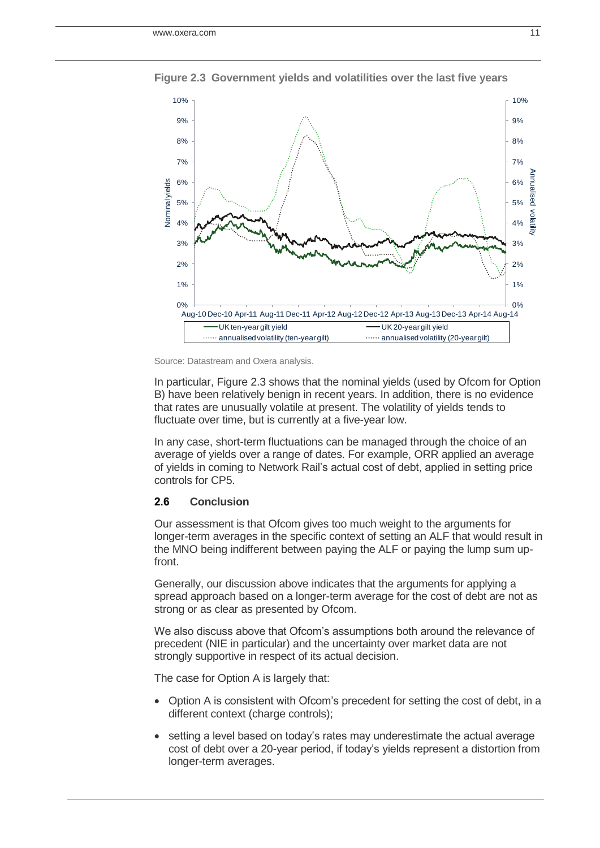

<span id="page-10-0"></span>**Figure 2.3 Government yields and volatilities over the last five years**

In particular, [Figure 2.3](#page-10-0) shows that the nominal yields (used by Ofcom for Option B) have been relatively benign in recent years. In addition, there is no evidence that rates are unusually volatile at present. The volatility of yields tends to fluctuate over time, but is currently at a five-year low.

In any case, short-term fluctuations can be managed through the choice of an average of yields over a range of dates. For example, ORR applied an average of yields in coming to Network Rail's actual cost of debt, applied in setting price controls for CP5.

### **2.6 Conclusion**

Our assessment is that Ofcom gives too much weight to the arguments for longer-term averages in the specific context of setting an ALF that would result in the MNO being indifferent between paying the ALF or paying the lump sum upfront.

Generally, our discussion above indicates that the arguments for applying a spread approach based on a longer-term average for the cost of debt are not as strong or as clear as presented by Ofcom.

We also discuss above that Ofcom's assumptions both around the relevance of precedent (NIE in particular) and the uncertainty over market data are not strongly supportive in respect of its actual decision.

The case for Option A is largely that:

- Option A is consistent with Ofcom's precedent for setting the cost of debt, in a different context (charge controls);
- setting a level based on today's rates may underestimate the actual average cost of debt over a 20-year period, if today's yields represent a distortion from longer-term averages.

Source: Datastream and Oxera analysis.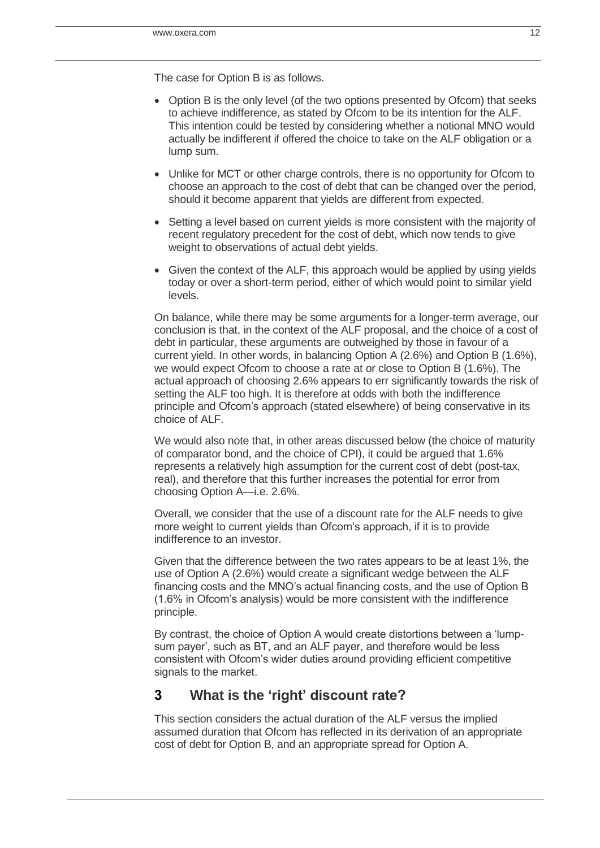The case for Option B is as follows.

- Option B is the only level (of the two options presented by Ofcom) that seeks to achieve indifference, as stated by Ofcom to be its intention for the ALF. This intention could be tested by considering whether a notional MNO would actually be indifferent if offered the choice to take on the ALF obligation or a lump sum.
- Unlike for MCT or other charge controls, there is no opportunity for Ofcom to choose an approach to the cost of debt that can be changed over the period, should it become apparent that yields are different from expected.
- Setting a level based on current yields is more consistent with the majority of recent regulatory precedent for the cost of debt, which now tends to give weight to observations of actual debt yields.
- Given the context of the ALF, this approach would be applied by using yields today or over a short-term period, either of which would point to similar yield levels.

On balance, while there may be some arguments for a longer-term average, our conclusion is that, in the context of the ALF proposal, and the choice of a cost of debt in particular, these arguments are outweighed by those in favour of a current yield. In other words, in balancing Option A (2.6%) and Option B (1.6%), we would expect Ofcom to choose a rate at or close to Option B (1.6%). The actual approach of choosing 2.6% appears to err significantly towards the risk of setting the ALF too high. It is therefore at odds with both the indifference principle and Ofcom's approach (stated elsewhere) of being conservative in its choice of ALF.

We would also note that, in other areas discussed below (the choice of maturity of comparator bond, and the choice of CPI), it could be argued that 1.6% represents a relatively high assumption for the current cost of debt (post-tax, real), and therefore that this further increases the potential for error from choosing Option A—i.e. 2.6%.

Overall, we consider that the use of a discount rate for the ALF needs to give more weight to current yields than Ofcom's approach, if it is to provide indifference to an investor.

Given that the difference between the two rates appears to be at least 1%, the use of Option A (2.6%) would create a significant wedge between the ALF financing costs and the MNO's actual financing costs, and the use of Option B (1.6% in Ofcom's analysis) would be more consistent with the indifference principle.

By contrast, the choice of Option A would create distortions between a 'lumpsum payer', such as BT, and an ALF payer, and therefore would be less consistent with Ofcom's wider duties around providing efficient competitive signals to the market.

# **3 What is the 'right' discount rate?**

This section considers the actual duration of the ALF versus the implied assumed duration that Ofcom has reflected in its derivation of an appropriate cost of debt for Option B, and an appropriate spread for Option A.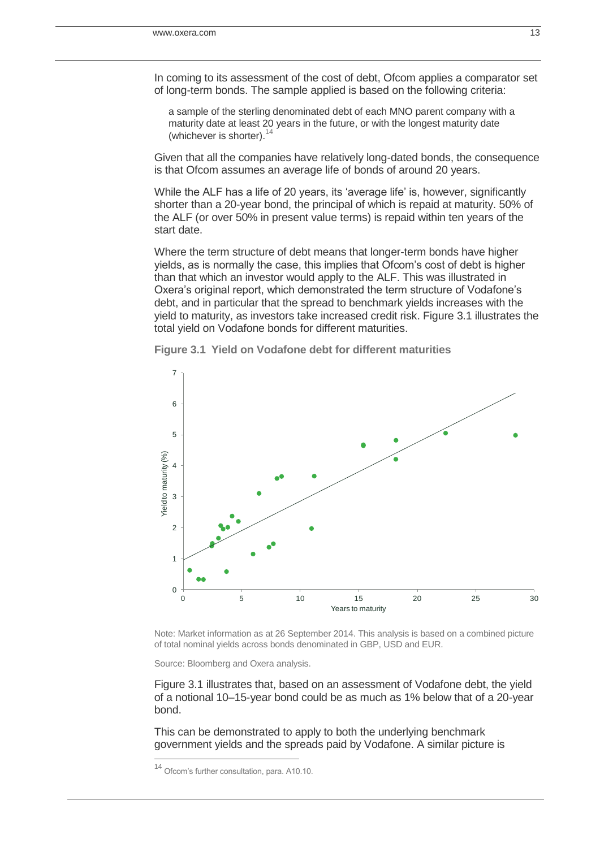In coming to its assessment of the cost of debt, Ofcom applies a comparator set of long-term bonds. The sample applied is based on the following criteria:

a sample of the sterling denominated debt of each MNO parent company with a maturity date at least 20 years in the future, or with the longest maturity date (whichever is shorter).  $14$ 

Given that all the companies have relatively long-dated bonds, the consequence is that Ofcom assumes an average life of bonds of around 20 years.

While the ALF has a life of 20 years, its 'average life' is, however, significantly shorter than a 20-year bond, the principal of which is repaid at maturity. 50% of the ALF (or over 50% in present value terms) is repaid within ten years of the start date.

Where the term structure of debt means that longer-term bonds have higher yields, as is normally the case, this implies that Ofcom's cost of debt is higher than that which an investor would apply to the ALF. This was illustrated in Oxera's original report, which demonstrated the term structure of Vodafone's debt, and in particular that the spread to benchmark yields increases with the yield to maturity, as investors take increased credit risk. [Figure 3.1](#page-12-0) illustrates the total yield on Vodafone bonds for different maturities.



<span id="page-12-0"></span>**Figure 3.1 Yield on Vodafone debt for different maturities**

Note: Market information as at 26 September 2014. This analysis is based on a combined picture of total nominal yields across bonds denominated in GBP, USD and EUR.

Source: Bloomberg and Oxera analysis.

[Figure 3.1](#page-12-0) illustrates that, based on an assessment of Vodafone debt, the yield of a notional 10–15-year bond could be as much as 1% below that of a 20-year bond.

This can be demonstrated to apply to both the underlying benchmark government yields and the spreads paid by Vodafone. A similar picture is

j

Ofcom's further consultation, para. A10.10.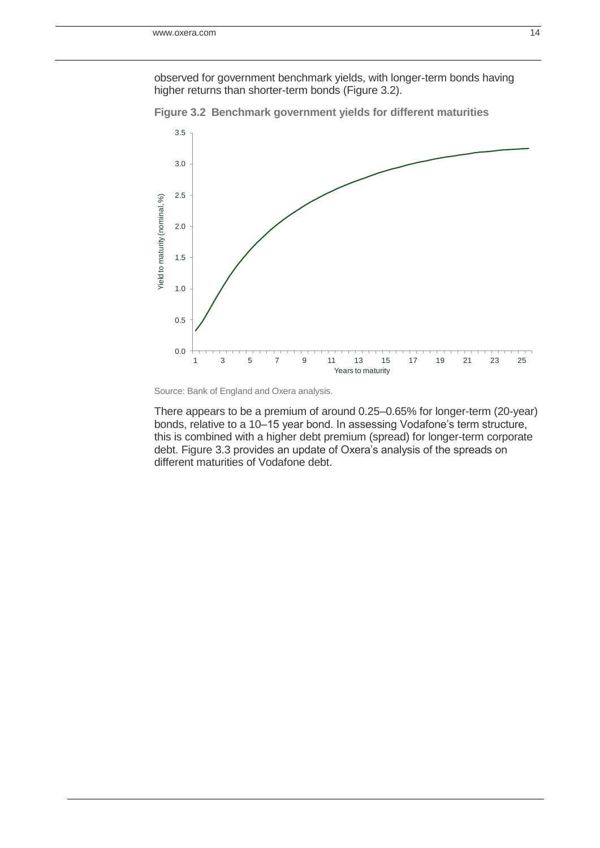observed for government benchmark yields, with longer-term bonds having higher returns than shorter-term bonds [\(Figure 3.2\)](#page-13-0).



<span id="page-13-0"></span>**Figure 3.2 Benchmark government yields for different maturities**

There appears to be a premium of around 0.25–0.65% for longer-term (20-year) bonds, relative to a 10–15 year bond. In assessing Vodafone's term structure, this is combined with a higher debt premium (spread) for longer-term corporate debt. [Figure 3.3](#page-14-0) provides an update of Oxera's analysis of the spreads on different maturities of Vodafone debt.

Source: Bank of England and Oxera analysis.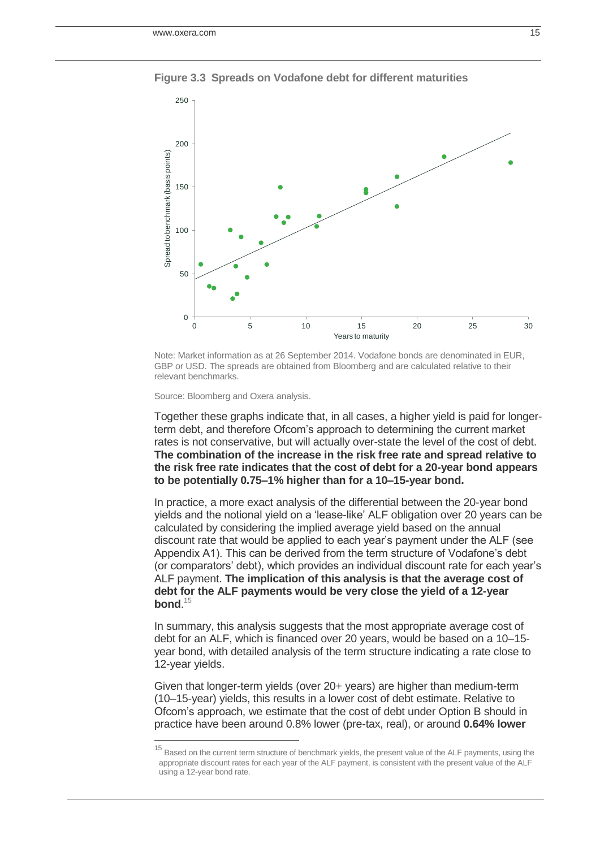

<span id="page-14-0"></span>**Figure 3.3 Spreads on Vodafone debt for different maturities**

Note: Market information as at 26 September 2014. Vodafone bonds are denominated in EUR, GBP or USD. The spreads are obtained from Bloomberg and are calculated relative to their relevant benchmarks.

Source: Bloomberg and Oxera analysis.

j

Together these graphs indicate that, in all cases, a higher yield is paid for longerterm debt, and therefore Ofcom's approach to determining the current market rates is not conservative, but will actually over-state the level of the cost of debt. **The combination of the increase in the risk free rate and spread relative to the risk free rate indicates that the cost of debt for a 20-year bond appears to be potentially 0.75–1% higher than for a 10–15-year bond.**

In practice, a more exact analysis of the differential between the 20-year bond yields and the notional yield on a 'lease-like' ALF obligation over 20 years can be calculated by considering the implied average yield based on the annual discount rate that would be applied to each year's payment under the ALF (see Appendix A1). This can be derived from the term structure of Vodafone's debt (or comparators' debt), which provides an individual discount rate for each year's ALF payment. **The implication of this analysis is that the average cost of debt for the ALF payments would be very close the yield of a 12-year bond**. 15

In summary, this analysis suggests that the most appropriate average cost of debt for an ALF, which is financed over 20 years, would be based on a 10–15 year bond, with detailed analysis of the term structure indicating a rate close to 12-year yields.

Given that longer-term yields (over 20+ years) are higher than medium-term (10–15-year) yields, this results in a lower cost of debt estimate. Relative to Ofcom's approach, we estimate that the cost of debt under Option B should in practice have been around 0.8% lower (pre-tax, real), or around **0.64% lower** 

<sup>&</sup>lt;sup>15</sup> Based on the current term structure of benchmark yields, the present value of the ALF payments, using the appropriate discount rates for each year of the ALF payment, is consistent with the present value of the ALF using a 12-year bond rate.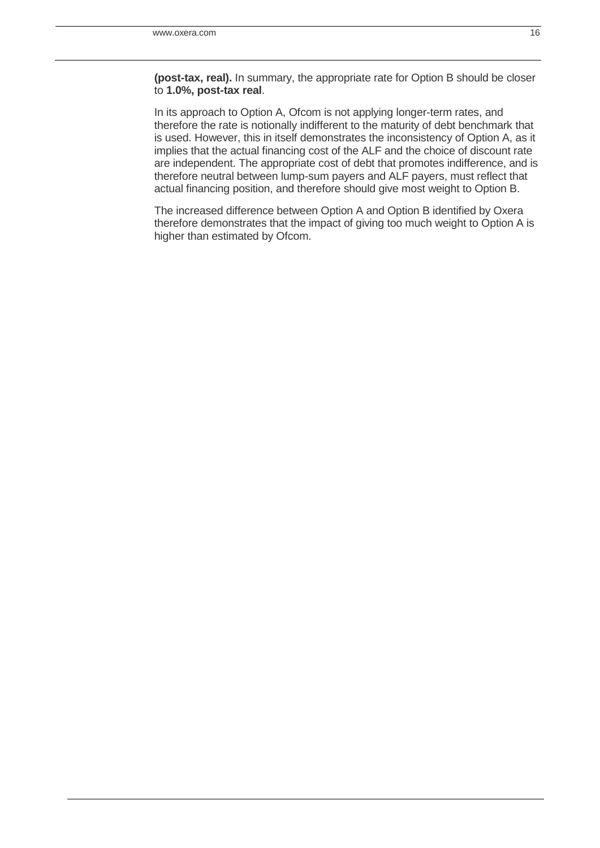**(post-tax, real).** In summary, the appropriate rate for Option B should be closer to **1.0%, post-tax real**.

In its approach to Option A, Ofcom is not applying longer-term rates, and therefore the rate is notionally indifferent to the maturity of debt benchmark that is used. However, this in itself demonstrates the inconsistency of Option A, as it implies that the actual financing cost of the ALF and the choice of discount rate are independent. The appropriate cost of debt that promotes indifference, and is therefore neutral between lump-sum payers and ALF payers, must reflect that actual financing position, and therefore should give most weight to Option B.

The increased difference between Option A and Option B identified by Oxera therefore demonstrates that the impact of giving too much weight to Option A is higher than estimated by Ofcom.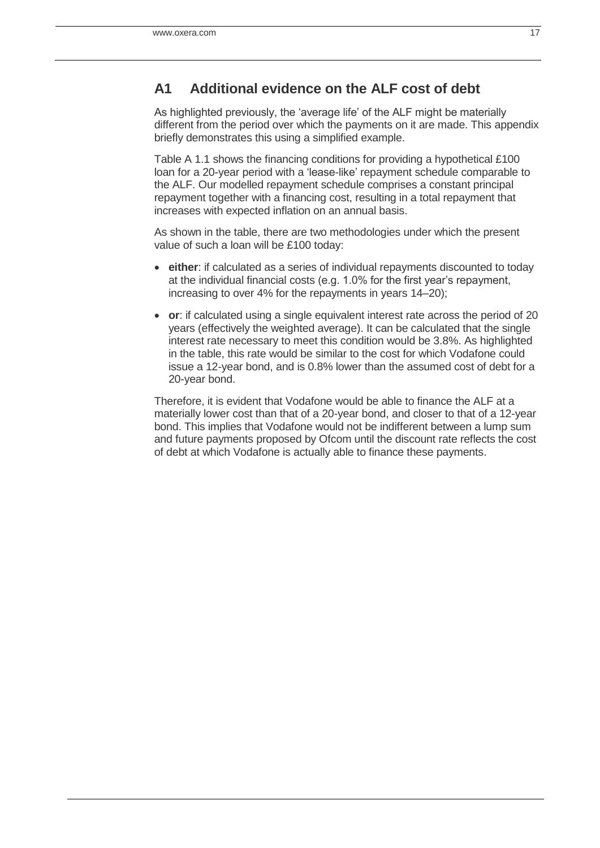# **A1 Additional evidence on the ALF cost of debt**

As highlighted previously, the 'average life' of the ALF might be materially different from the period over which the payments on it are made. This appendix briefly demonstrates this using a simplified example.

[Table A 1.1](#page-17-0) shows the financing conditions for providing a hypothetical £100 loan for a 20-year period with a 'lease-like' repayment schedule comparable to the ALF. Our modelled repayment schedule comprises a constant principal repayment together with a financing cost, resulting in a total repayment that increases with expected inflation on an annual basis.

As shown in the table, there are two methodologies under which the present value of such a loan will be £100 today:

- **either**: if calculated as a series of individual repayments discounted to today at the individual financial costs (e.g. 1.0% for the first year's repayment, increasing to over 4% for the repayments in years 14–20);
- **or**: if calculated using a single equivalent interest rate across the period of 20 years (effectively the weighted average). It can be calculated that the single interest rate necessary to meet this condition would be 3.8%. As highlighted in the table, this rate would be similar to the cost for which Vodafone could issue a 12-year bond, and is 0.8% lower than the assumed cost of debt for a 20-year bond.

Therefore, it is evident that Vodafone would be able to finance the ALF at a materially lower cost than that of a 20-year bond, and closer to that of a 12-year bond. This implies that Vodafone would not be indifferent between a lump sum and future payments proposed by Ofcom until the discount rate reflects the cost of debt at which Vodafone is actually able to finance these payments.